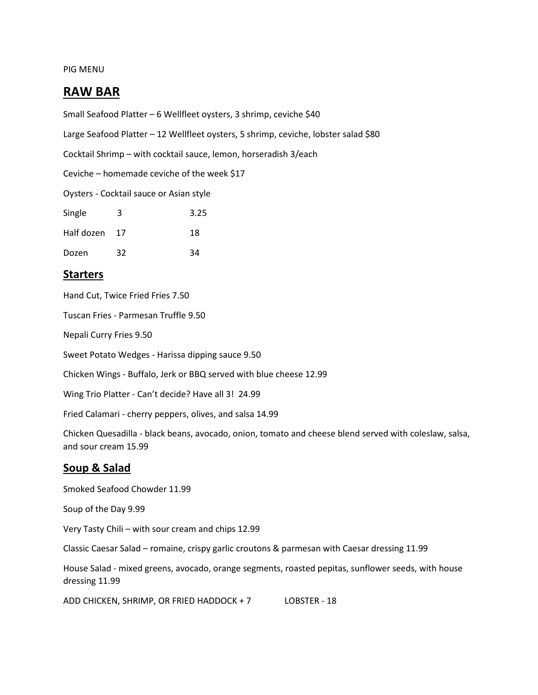#### PIG MENU

# **RAW BAR**

Small Seafood Platter – 6 Wellfleet oysters, 3 shrimp, ceviche \$40

Large Seafood Platter - 12 Wellfleet oysters, 5 shrimp, ceviche, lobster salad \$80

Cocktail Shrimp – with cocktail sauce, lemon, horseradish 3/each

Ceviche – homemade ceviche of the week \$17

Oysters - Cocktail sauce or Asian style

| Single        | 3  | 3.25 |
|---------------|----|------|
| Half dozen 17 |    | 18   |
| Dozen         | 32 | 34   |

## **Starters**

Hand Cut, Twice Fried Fries 7.50

Tuscan Fries - Parmesan Truffle 9.50

Nepali Curry Fries 9.50

Sweet Potato Wedges - Harissa dipping sauce 9.50

Chicken Wings - Buffalo, Jerk or BBQ served with blue cheese 12.99

Wing Trio Platter - Can't decide? Have all 3! 24.99

Fried Calamari - cherry peppers, olives, and salsa 14.99

Chicken Quesadilla - black beans, avocado, onion, tomato and cheese blend served with coleslaw, salsa, and sour cream 15.99

### **Soup & Salad**

Smoked Seafood Chowder 11.99 Soup of the Day 9.99 Very Tasty Chili – with sour cream and chips 12.99 Classic Caesar Salad – romaine, crispy garlic croutons & parmesan with Caesar dressing 11.99 House Salad - mixed greens, avocado, orange segments, roasted pepitas, sunflower seeds, with house dressing 11.99

ADD CHICKEN, SHRIMP, OR FRIED HADDOCK + 7 LOBSTER - 18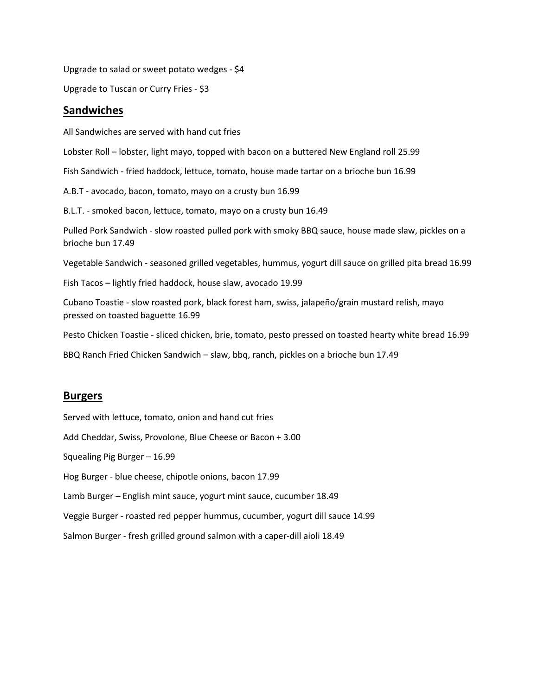Upgrade to salad or sweet potato wedges - \$4

Upgrade to Tuscan or Curry Fries - \$3

#### **Sandwiches**

All Sandwiches are served with hand cut fries Lobster Roll – lobster, light mayo, topped with bacon on a buttered New England roll 25.99 Fish Sandwich - fried haddock, lettuce, tomato, house made tartar on a brioche bun 16.99 A.B.T - avocado, bacon, tomato, mayo on a crusty bun 16.99 B.L.T. - smoked bacon, lettuce, tomato, mayo on a crusty bun 16.49 Pulled Pork Sandwich - slow roasted pulled pork with smoky BBQ sauce, house made slaw, pickles on a brioche bun 17.49 Vegetable Sandwich - seasoned grilled vegetables, hummus, yogurt dill sauce on grilled pita bread 16.99 Fish Tacos – lightly fried haddock, house slaw, avocado 19.99 Cubano Toastie - slow roasted pork, black forest ham, swiss, jalapeño/grain mustard relish, mayo pressed on toasted baguette 16.99

Pesto Chicken Toastie - sliced chicken, brie, tomato, pesto pressed on toasted hearty white bread 16.99

BBQ Ranch Fried Chicken Sandwich – slaw, bbq, ranch, pickles on a brioche bun 17.49

#### **Burgers**

Served with lettuce, tomato, onion and hand cut fries

Add Cheddar, Swiss, Provolone, Blue Cheese or Bacon + 3.00

Squealing Pig Burger – 16.99

Hog Burger - blue cheese, chipotle onions, bacon 17.99

Lamb Burger – English mint sauce, yogurt mint sauce, cucumber 18.49

Veggie Burger - roasted red pepper hummus, cucumber, yogurt dill sauce 14.99

Salmon Burger - fresh grilled ground salmon with a caper-dill aioli 18.49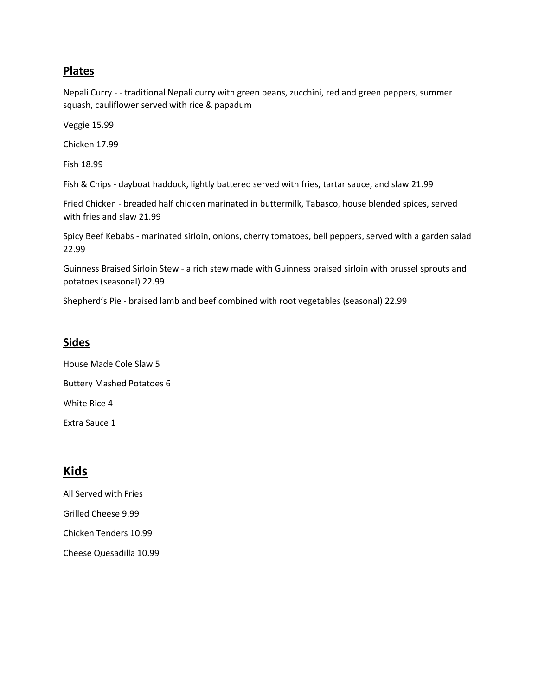# **Plates**

Nepali Curry - - traditional Nepali curry with green beans, zucchini, red and green peppers, summer squash, cauliflower served with rice & papadum

Veggie 15.99

Chicken 17.99

Fish 18.99

Fish & Chips - dayboat haddock, lightly battered served with fries, tartar sauce, and slaw 21.99

Fried Chicken - breaded half chicken marinated in buttermilk, Tabasco, house blended spices, served with fries and slaw 21.99

Spicy Beef Kebabs - marinated sirloin, onions, cherry tomatoes, bell peppers, served with a garden salad 22.99

Guinness Braised Sirloin Stew - a rich stew made with Guinness braised sirloin with brussel sprouts and potatoes (seasonal) 22.99

Shepherd's Pie - braised lamb and beef combined with root vegetables (seasonal) 22.99

### **Sides**

House Made Cole Slaw 5 Buttery Mashed Potatoes 6 White Rice 4 Extra Sauce 1

# **Kids**

All Served with Fries Grilled Cheese 9.99 Chicken Tenders 10.99 Cheese Quesadilla 10.99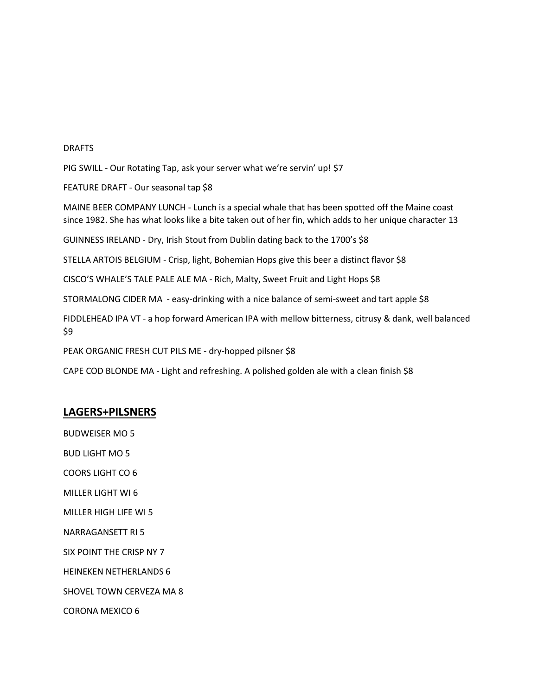#### DRAFTS

PIG SWILL - Our Rotating Tap, ask your server what we're servin' up! \$7

FEATURE DRAFT - Our seasonal tap \$8

MAINE BEER COMPANY LUNCH - Lunch is a special whale that has been spotted off the Maine coast since 1982. She has what looks like a bite taken out of her fin, which adds to her unique character 13

GUINNESS IRELAND - Dry, Irish Stout from Dublin dating back to the 1700's \$8

STELLA ARTOIS BELGIUM - Crisp, light, Bohemian Hops give this beer a distinct flavor \$8

CISCO'S WHALE'S TALE PALE ALE MA - Rich, Malty, Sweet Fruit and Light Hops \$8

STORMALONG CIDER MA - easy-drinking with a nice balance of semi-sweet and tart apple \$8

FIDDLEHEAD IPA VT - a hop forward American IPA with mellow bitterness, citrusy & dank, well balanced \$9

PEAK ORGANIC FRESH CUT PILS ME - dry-hopped pilsner \$8

CAPE COD BLONDE MA - Light and refreshing. A polished golden ale with a clean finish \$8

#### **LAGERS+PILSNERS**

BUDWEISER MO 5

BUD LIGHT MO 5

COORS LIGHT CO 6

MILLER LIGHT WI 6

MILLER HIGH LIFE WI 5

NARRAGANSETT RI 5

SIX POINT THE CRISP NY 7

HEINEKEN NETHERLANDS 6

SHOVEL TOWN CERVEZA MA 8

CORONA MEXICO 6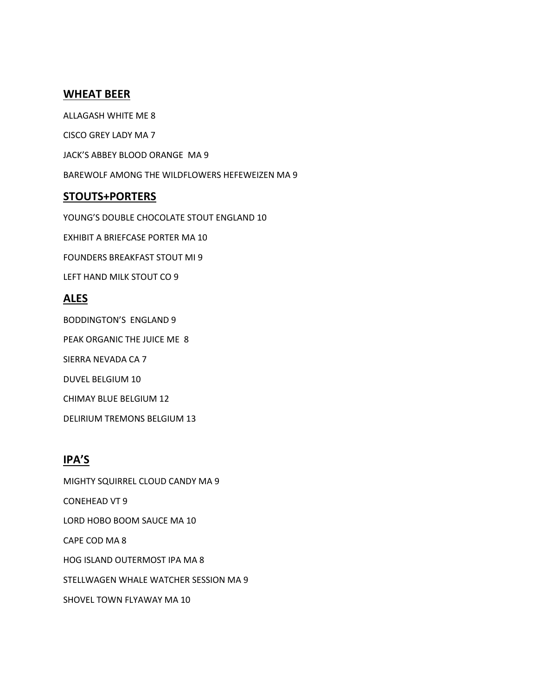### **WHEAT BEER**

ALLAGASH WHITE ME 8 CISCO GREY LADY MA 7 JACK'S ABBEY BLOOD ORANGE MA 9 BAREWOLF AMONG THE WILDFLOWERS HEFEWEIZEN MA 9

## **STOUTS+PORTERS**

YOUNG'S DOUBLE CHOCOLATE STOUT ENGLAND 10 EXHIBIT A BRIEFCASE PORTER MA 10 FOUNDERS BREAKFAST STOUT MI 9 LEFT HAND MILK STOUT CO 9 **ALES** BODDINGTON'S ENGLAND 9

PEAK ORGANIC THE JUICE ME 8 SIERRA NEVADA CA 7

DUVEL BELGIUM 10

CHIMAY BLUE BELGIUM 12

DELIRIUM TREMONS BELGIUM 13

# **IPA'S**

MIGHTY SQUIRREL CLOUD CANDY MA 9 CONEHEAD VT 9 LORD HOBO BOOM SAUCE MA 10 CAPE COD MA 8 HOG ISLAND OUTERMOST IPA MA 8 STELLWAGEN WHALE WATCHER SESSION MA 9 SHOVEL TOWN FLYAWAY MA 10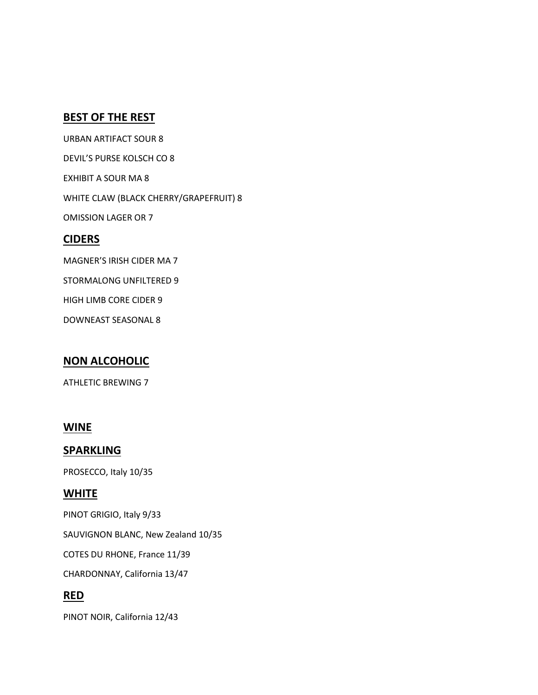# **BEST OF THE REST**

URBAN ARTIFACT SOUR 8 DEVIL'S PURSE KOLSCH CO 8 EXHIBIT A SOUR MA 8 WHITE CLAW (BLACK CHERRY/GRAPEFRUIT) 8 OMISSION LAGER OR 7 **CIDERS** MAGNER'S IRISH CIDER MA 7 STORMALONG UNFILTERED 9 HIGH LIMB CORE CIDER 9

DOWNEAST SEASONAL 8

# **NON ALCOHOLIC**

ATHLETIC BREWING 7

### **WINE**

## **SPARKLING**

PROSECCO, Italy 10/35

# **WHITE**

PINOT GRIGIO, Italy 9/33

SAUVIGNON BLANC, New Zealand 10/35

COTES DU RHONE, France 11/39

CHARDONNAY, California 13/47

# **RED**

PINOT NOIR, California 12/43